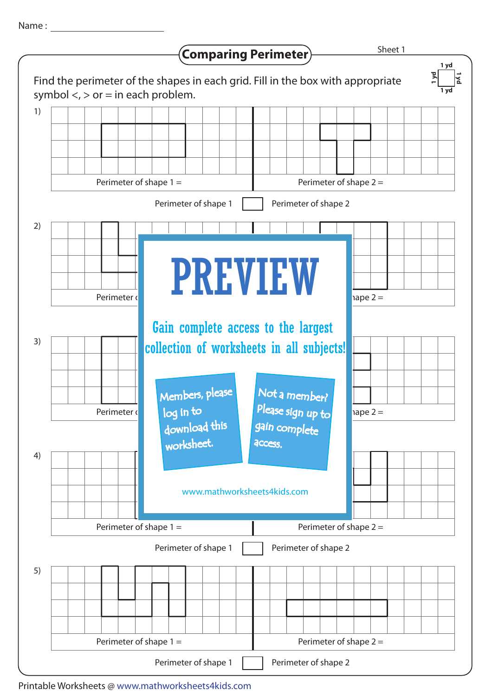Name :



Printable Worksheets @ www.mathworksheets4kids.com